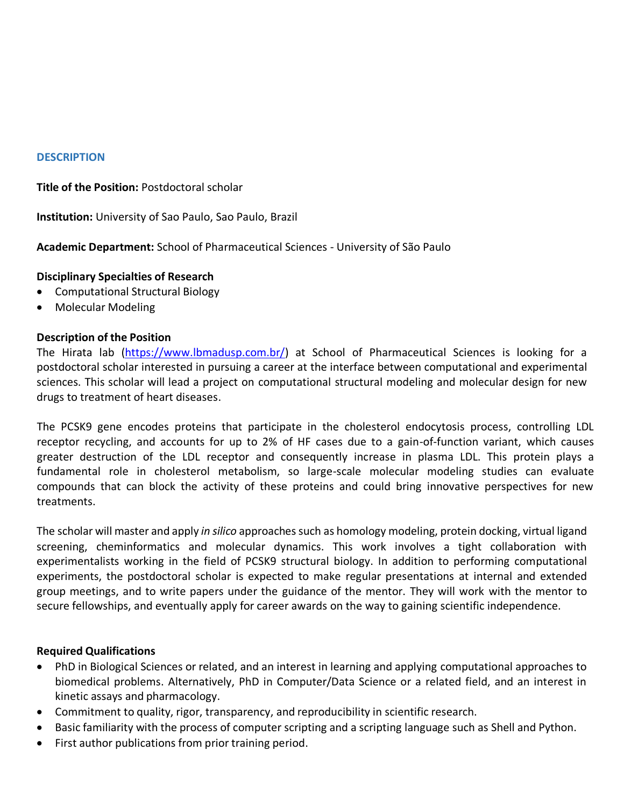### **DESCRIPTION**

**Title of the Position:** Postdoctoral scholar

**Institution:** University of Sao Paulo, Sao Paulo, Brazil

**Academic Department:** School of Pharmaceutical Sciences - University of São Paulo

### **Disciplinary Specialties of Research**

- Computational Structural Biology
- Molecular Modeling

### **Description of the Position**

The Hirata lab [\(https://www.lbmadusp.com.br/\)](https://www.lbmadusp.com.br/) at School of Pharmaceutical Sciences is looking for a postdoctoral scholar interested in pursuing a career at the interface between computational and experimental sciences. This scholar will lead a project on computational structural modeling and molecular design for new drugs to treatment of heart diseases.

The PCSK9 gene encodes proteins that participate in the cholesterol endocytosis process, controlling LDL receptor recycling, and accounts for up to 2% of HF cases due to a gain-of-function variant, which causes greater destruction of the LDL receptor and consequently increase in plasma LDL. This protein plays a fundamental role in cholesterol metabolism, so large-scale molecular modeling studies can evaluate compounds that can block the activity of these proteins and could bring innovative perspectives for new treatments.

The scholar will master and apply *in silico* approachessuch as homology modeling, protein docking, virtual ligand screening, cheminformatics and molecular dynamics. This work involves a tight collaboration with experimentalists working in the field of PCSK9 structural biology. In addition to performing computational experiments, the postdoctoral scholar is expected to make regular presentations at internal and extended group meetings, and to write papers under the guidance of the mentor. They will work with the mentor to secure fellowships, and eventually apply for career awards on the way to gaining scientific independence.

### **Required Qualifications**

- PhD in Biological Sciences or related, and an interest in learning and applying computational approaches to biomedical problems. Alternatively, PhD in Computer/Data Science or a related field, and an interest in kinetic assays and pharmacology.
- Commitment to quality, rigor, transparency, and reproducibility in scientific research.
- Basic familiarity with the process of computer scripting and a scripting language such as Shell and Python.
- First author publications from prior training period.